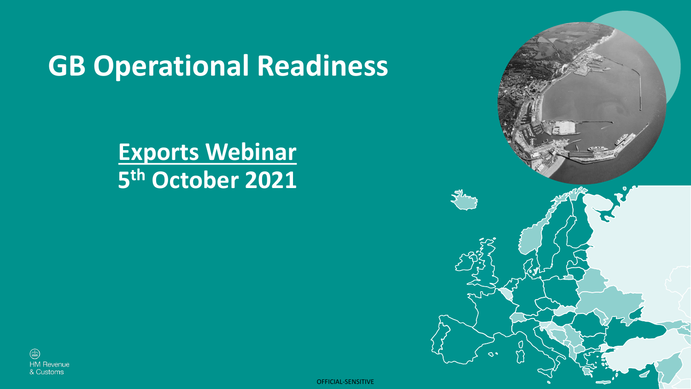## **GB Operational Readiness**

### **Exports Webinar 5 th October 2021**



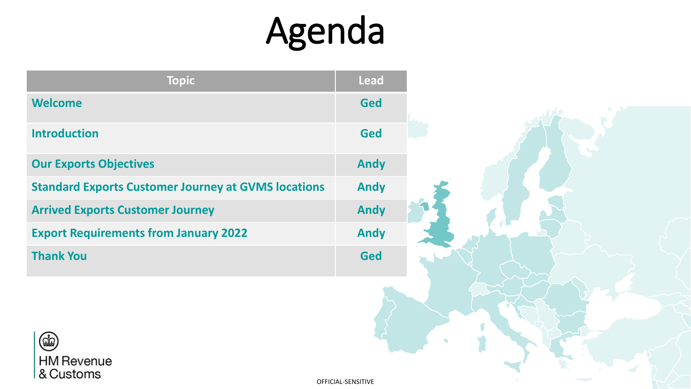# Agenda

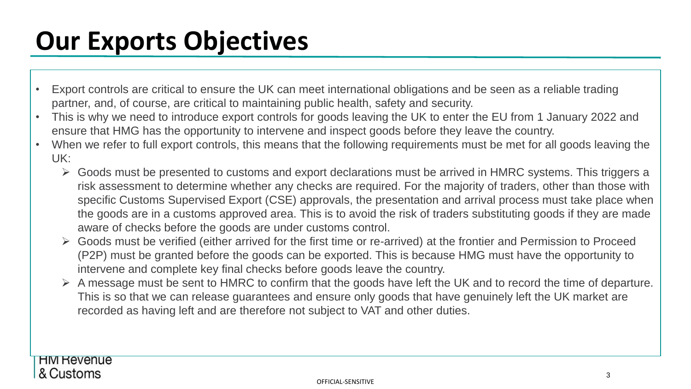## **Our Exports Objectives**

- Export controls are critical to ensure the UK can meet international obligations and be seen as a reliable trading partner, and, of course, are critical to maintaining public health, safety and security.
- This is why we need to introduce export controls for goods leaving the UK to enter the EU from 1 January 2022 and ensure that HMG has the opportunity to intervene and inspect goods before they leave the country.
- When we refer to full export controls, this means that the following requirements must be met for all goods leaving the UK:
	- ➢ Goods must be presented to customs and export declarations must be arrived in HMRC systems. This triggers a risk assessment to determine whether any checks are required. For the majority of traders, other than those with specific Customs Supervised Export (CSE) approvals, the presentation and arrival process must take place when the goods are in a customs approved area. This is to avoid the risk of traders substituting goods if they are made aware of checks before the goods are under customs control.
	- ➢ Goods must be verified (either arrived for the first time or re-arrived) at the frontier and Permission to Proceed (P2P) must be granted before the goods can be exported. This is because HMG must have the opportunity to intervene and complete key final checks before goods leave the country.
	- $\triangleright$  A message must be sent to HMRC to confirm that the goods have left the UK and to record the time of departure. This is so that we can release guarantees and ensure only goods that have genuinely left the UK market are recorded as having left and are therefore not subject to VAT and other duties.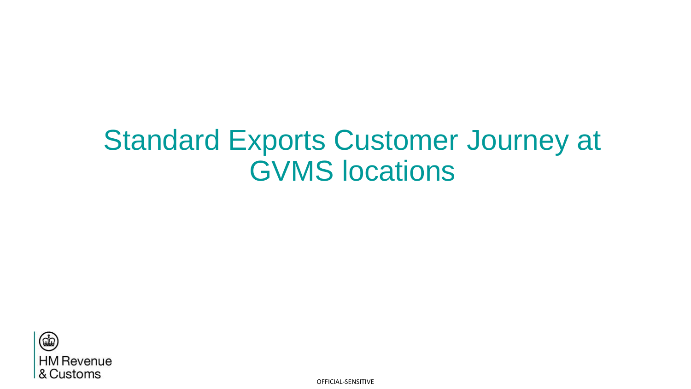## Standard Exports Customer Journey at GVMS locations

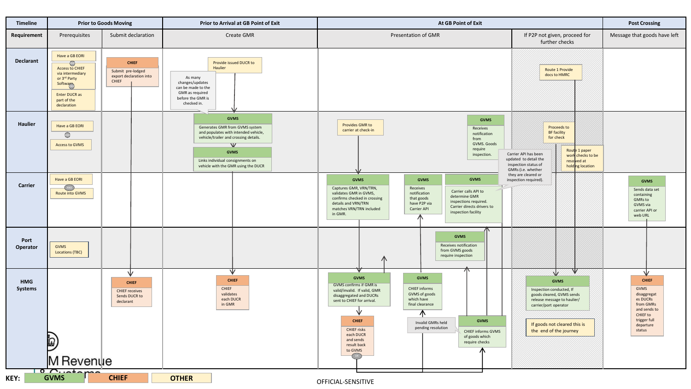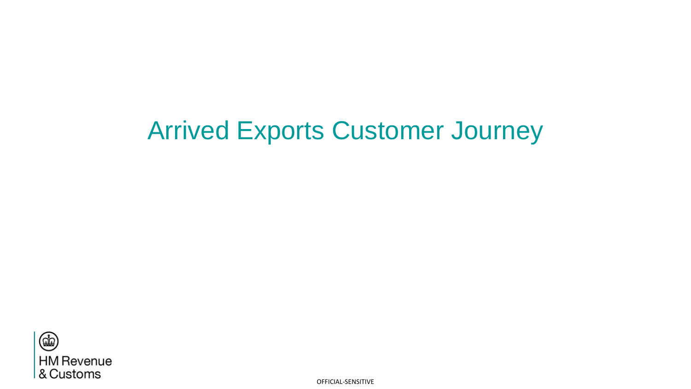### Arrived Exports Customer Journey

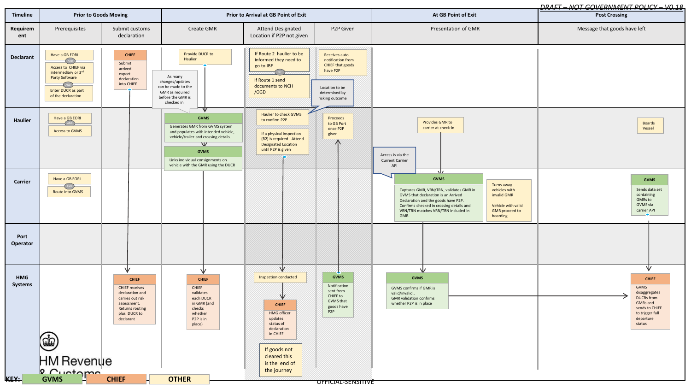#### *DRAFT – NOT GOVERNMENT POLICY – V0.18*

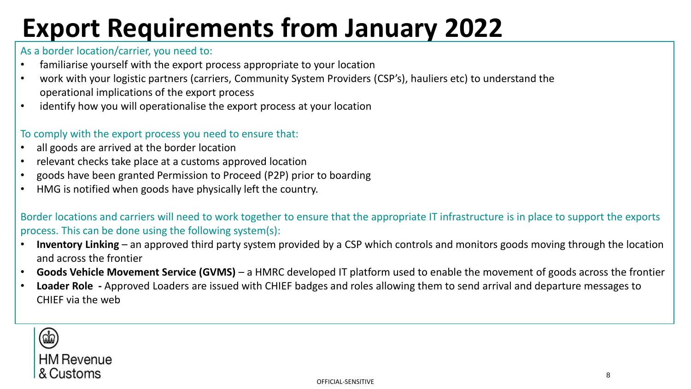## **Export Requirements from January 2022**

### As a border location/carrier, you need to:

- familiarise yourself with the export process appropriate to your location
- work with your logistic partners (carriers, Community System Providers (CSP's), hauliers etc) to understand the operational implications of the export process
- identify how you will operationalise the export process at your location

### To comply with the export process you need to ensure that:

- all goods are arrived at the border location
- relevant checks take place at a customs approved location
- goods have been granted Permission to Proceed (P2P) prior to boarding
- HMG is notified when goods have physically left the country.

Border locations and carriers will need to work together to ensure that the appropriate IT infrastructure is in place to support the exports process. This can be done using the following system(s):

- **Inventory Linking**  an approved third party system provided by a CSP which controls and monitors goods moving through the location and across the frontier
- **Goods Vehicle Movement Service (GVMS)**  a HMRC developed IT platform used to enable the movement of goods across the frontier
- **Loader Role -** Approved Loaders are issued with CHIEF badges and roles allowing them to send arrival and departure messages to CHIEF via the web